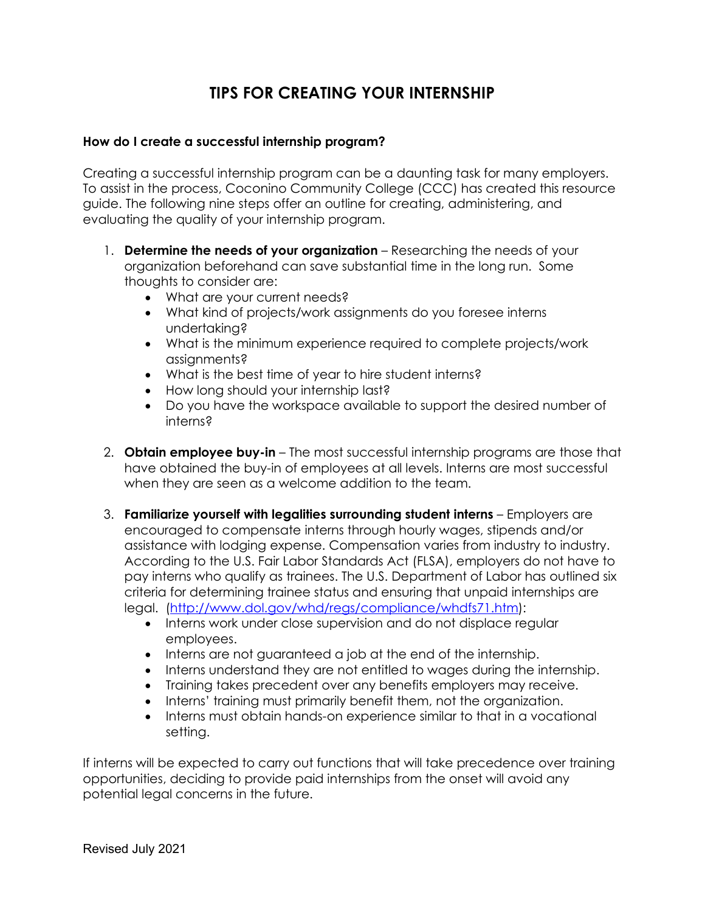## **TIPS FOR CREATING YOUR INTERNSHIP**

### **How do I create a successful internship program?**

 Creating a successful internship program can be a daunting task for many employers. To assist in the process, Coconino Community College (CCC) has created this resource guide. The following nine steps offer an outline for creating, administering, and evaluating the quality of your internship program.

- 1. **Determine the needs of your organization** Researching the needs of your organization beforehand can save substantial time in the long run. Some thoughts to consider are:
	- What are your current needs?
	- What kind of projects/work assignments do you foresee interns undertaking?
	- • What is the minimum experience required to complete projects/work assignments?
	- What is the best time of year to hire student interns?
	- How long should your internship last?
	- Do you have the workspace available to support the desired number of interns?
- 2. **Obtain employee buy-in**  The most successful internship programs are those that have obtained the buy-in of employees at all levels. Interns are most successful when they are seen as a welcome addition to the team.
- 3. **Familiarize yourself with legalities surrounding student interns**  Employers are encouraged to compensate interns through hourly wages, stipends and/or pay interns who qualify as trainees. The U.S. Department of Labor has outlined six assistance with lodging expense. Compensation varies from industry to industry. According to the U.S. Fair Labor Standards Act (FLSA), employers do not have to criteria for determining trainee status and ensuring that unpaid internships are legal. [\(http://www.dol.gov/whd/regs/compliance/whdfs71.htm\)](http://www.dol.gov/whd/regs/compliance/whdfs71.htm):
	- Interns work under close supervision and do not displace regular employees.
	- Interns are not guaranteed a job at the end of the internship.
	- Interns understand they are not entitled to wages during the internship.
	- Training takes precedent over any benefits employers may receive.
	- Interns' training must primarily benefit them, not the organization.
	- Interns must obtain hands-on experience similar to that in a vocational setting.

 opportunities, deciding to provide paid internships from the onset will avoid any If interns will be expected to carry out functions that will take precedence over training potential legal concerns in the future.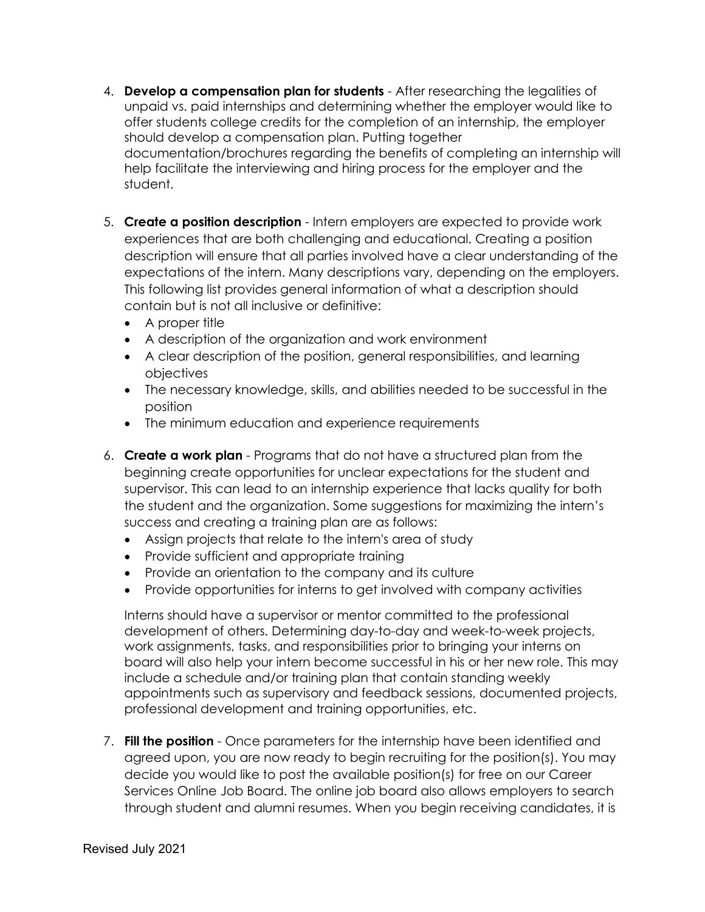- 4. **Develop a compensation plan for students**  After researching the legalities of offer students college credits for the completion of an internship, the employer should develop a compensation plan. Putting together documentation/brochures regarding the benefits of completing an internship will help facilitate the interviewing and hiring process for the employer and the unpaid vs. paid internships and determining whether the employer would like to student.
- 5. **Create a position description**  Intern employers are expected to provide work description will ensure that all parties involved have a clear understanding of the This following list provides general information of what a description should experiences that are both challenging and educational. Creating a position expectations of the intern. Many descriptions vary, depending on the employers. contain but is not all inclusive or definitive:
	- A proper title
	- A description of the organization and work environment
	- A clear description of the position, general responsibilities, and learning objectives
	- • The necessary knowledge, skills, and abilities needed to be successful in the position
	- The minimum education and experience requirements
- 6. **Create a work plan**  Programs that do not have a structured plan from the success and creating a training plan are as follows: beginning create opportunities for unclear expectations for the student and supervisor. This can lead to an internship experience that lacks quality for both the student and the organization. Some suggestions for maximizing the intern's
	- Assign projects that relate to the intern's area of study
	- Provide sufficient and appropriate training
	- Provide an orientation to the company and its culture
	- Provide opportunities for interns to get involved with company activities

 Interns should have a supervisor or mentor committed to the professional board will also help your intern become successful in his or her new role. This may include a schedule and/or training plan that contain standing weekly appointments such as supervisory and feedback sessions, documented projects, development of others. Determining day-to-day and week-to-week projects, work assignments, tasks, and responsibilities prior to bringing your interns on professional development and training opportunities, etc.

 7. **Fill the position** - Once parameters for the internship have been identified and agreed upon, you are now ready to begin recruiting for the position(s). You may decide you would like to post the available position(s) for free on our Career Services Online Job Board. The online job board also allows employers to search through student and alumni resumes. When you begin receiving candidates, it is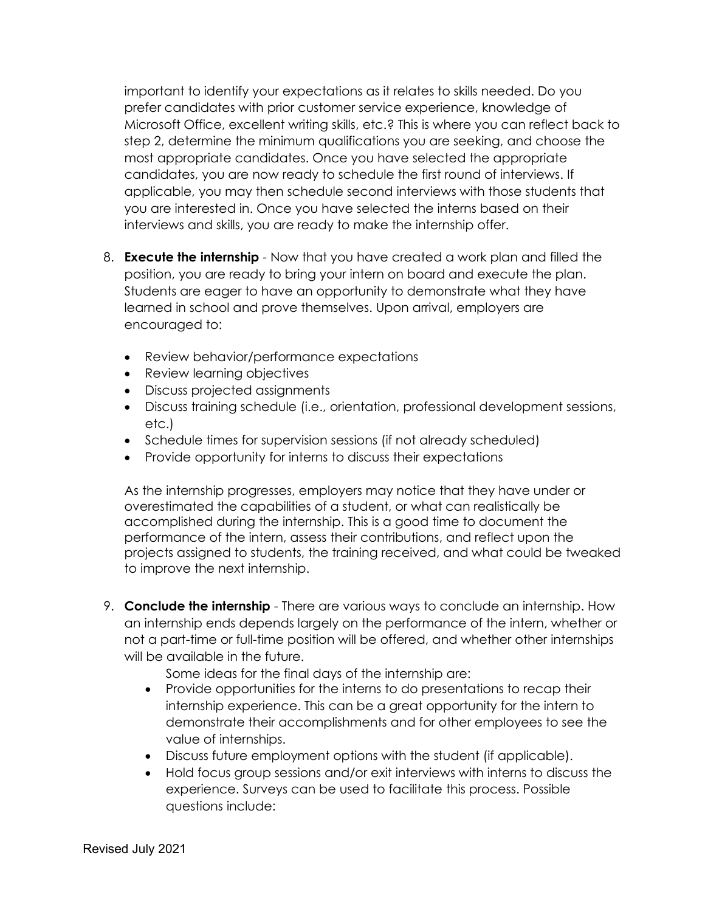Microsoft Office, excellent writing skills, etc.? This is where you can reflect back to step 2, determine the minimum qualifications you are seeking, and choose the candidates, you are now ready to schedule the first round of interviews. If important to identify your expectations as it relates to skills needed. Do you prefer candidates with prior customer service experience, knowledge of most appropriate candidates. Once you have selected the appropriate applicable, you may then schedule second interviews with those students that you are interested in. Once you have selected the interns based on their interviews and skills, you are ready to make the internship offer.

- 8. **Execute the internship**  Now that you have created a work plan and filled the position, you are ready to bring your intern on board and execute the plan. Students are eager to have an opportunity to demonstrate what they have learned in school and prove themselves. Upon arrival, employers are encouraged to:
	- Review behavior/performance expectations
	- Review learning objectives
	- Discuss projected assignments
	- Discuss training schedule (i.e., orientation, professional development sessions, etc.)
	- Schedule times for supervision sessions (if not already scheduled)
	- Provide opportunity for interns to discuss their expectations

 As the internship progresses, employers may notice that they have under or overestimated the capabilities of a student, or what can realistically be performance of the intern, assess their contributions, and reflect upon the projects assigned to students, the training received, and what could be tweaked accomplished during the internship. This is a good time to document the to improve the next internship.

 9. **Conclude the internship** - There are various ways to conclude an internship. How not a part-time or full-time position will be offered, and whether other internships an internship ends depends largely on the performance of the intern, whether or will be available in the future.

Some ideas for the final days of the internship are:

- internship experience. This can be a great opportunity for the intern to demonstrate their accomplishments and for other employees to see the • Provide opportunities for the interns to do presentations to recap their value of internships.
- Discuss future employment options with the student (if applicable).
- Hold focus group sessions and/or exit interviews with interns to discuss the experience. Surveys can be used to facilitate this process. Possible questions include: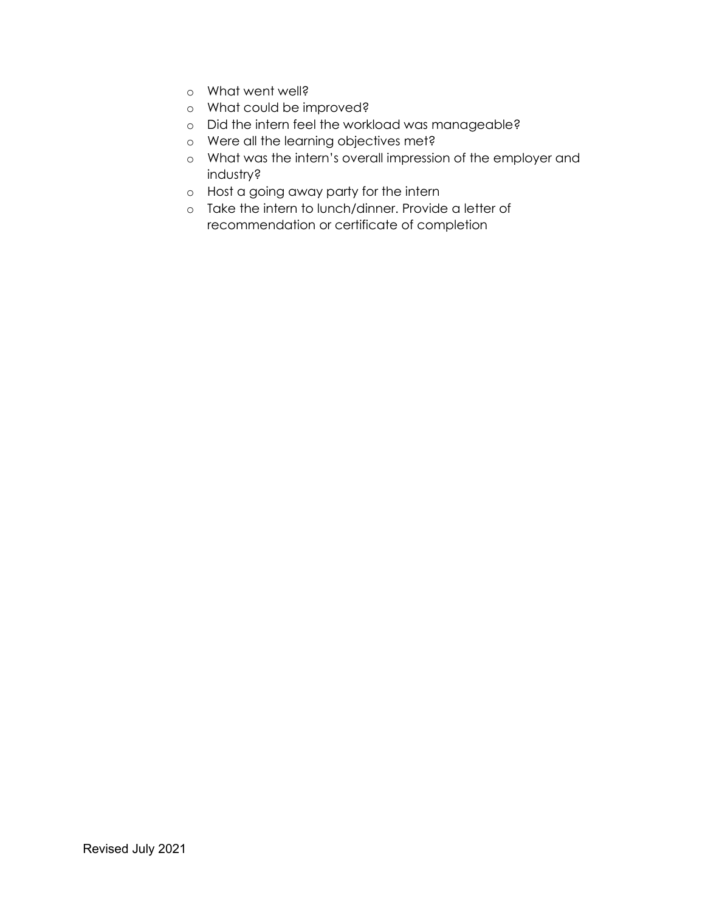- o What went well?
- o What could be improved?
- o Did the intern feel the workload was manageable?
- o Were all the learning objectives met?
- o What was the intern's overall impression of the employer and industry?
- o Host a going away party for the intern
- o Take the intern to lunch/dinner. Provide a letter of recommendation or certificate of completion